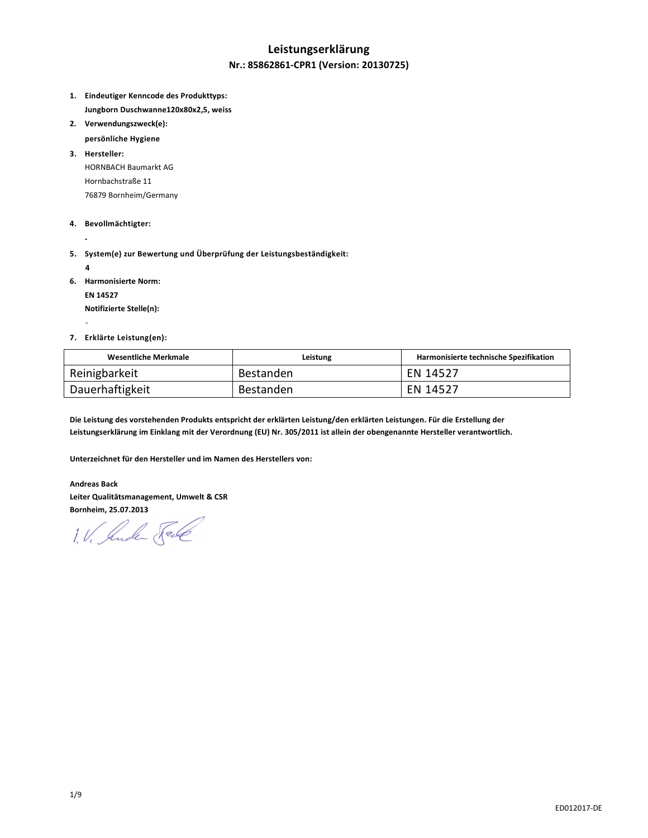### **Leistungserklärung**

### **Nr.: 85862861-CPR1 (Version: 20130725)**

- **1. Eindeutiger Kenncode des Produkttyps: Jungborn Duschwanne120x80x2,5, weiss**
- **2. Verwendungszweck(e):** 
	- **persönliche Hygiene**
- **3. Hersteller:**  HORNBACH Baumarkt AG Hornbachstraße 11 76879 Bornheim/Germany
- **4. Bevollmächtigter:**
- **5. System(e) zur Bewertung und Überprüfung der Leistungsbeständigkeit:** 
	- **4**

 **-** 

-

- **6. Harmonisierte Norm:** 
	- **EN 14527**

 **Notifizierte Stelle(n):** 

**7. Erklärte Leistung(en):** 

| <b>Wesentliche Merkmale</b> | Leistung  | Harmonisierte technische Spezifikation |
|-----------------------------|-----------|----------------------------------------|
| Reinigbarkeit               | Bestanden | EN 14527                               |
| Dauerhaftigkeit             | Bestanden | EN 14527                               |

**Die Leistung des vorstehenden Produkts entspricht der erklärten Leistung/den erklärten Leistungen. Für die Erstellung der Leistungserklärung im Einklang mit der Verordnung (EU) Nr. 305/2011 ist allein der obengenannte Hersteller verantwortlich.** 

**Unterzeichnet für den Hersteller und im Namen des Herstellers von:** 

**Andreas Back Leiter Qualitätsmanagement, Umwelt & CSR Bornheim, 25.07.2013** 

1. V. Jude Sel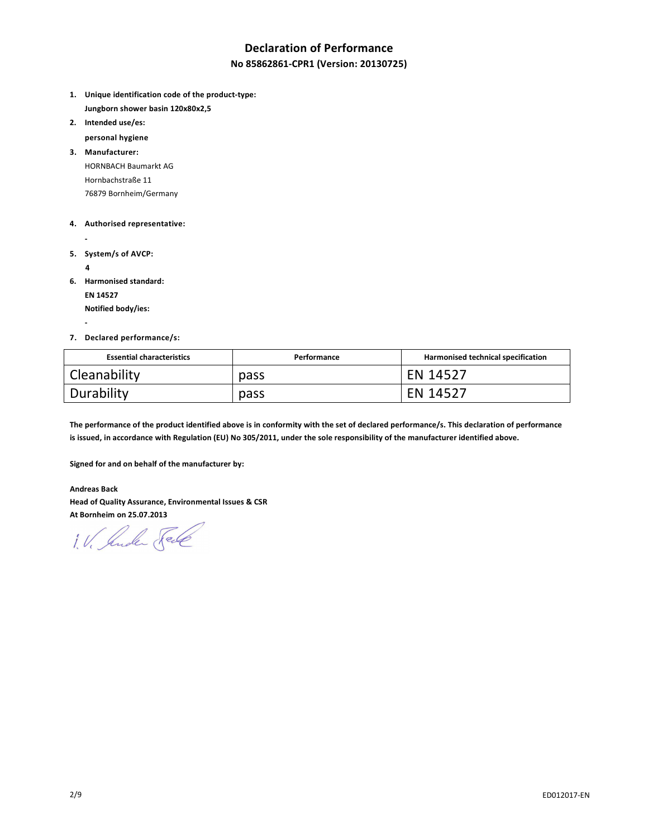## **Declaration of Performance**

### **No 85862861-CPR1 (Version: 20130725)**

- **1. Unique identification code of the product-type: Jungborn shower basin 120x80x2,5**
- **2. Intended use/es:**

 **personal hygiene** 

**3. Manufacturer:**  HORNBACH Baumarkt AG Hornbachstraße 11 76879 Bornheim/Germany

#### **4. Authorised representative:**

- **5. System/s of AVCP:** 
	- **4**

 **-** 

**6. Harmonised standard:** 

 **EN 14527** 

 **Notified body/ies:** 

#### **7. Declared performance/s:**

| <b>Essential characteristics</b> | Performance | Harmonised technical specification |
|----------------------------------|-------------|------------------------------------|
| Cleanability                     | pass        | EN 14527                           |
| Durability                       | pass        | EN 14527                           |

**The performance of the product identified above is in conformity with the set of declared performance/s. This declaration of performance is issued, in accordance with Regulation (EU) No 305/2011, under the sole responsibility of the manufacturer identified above.** 

**Signed for and on behalf of the manufacturer by:** 

**Andreas Back Head of Quality Assurance, Environmental Issues & CSR At Bornheim on 25.07.2013** 

1. V. Suder Sele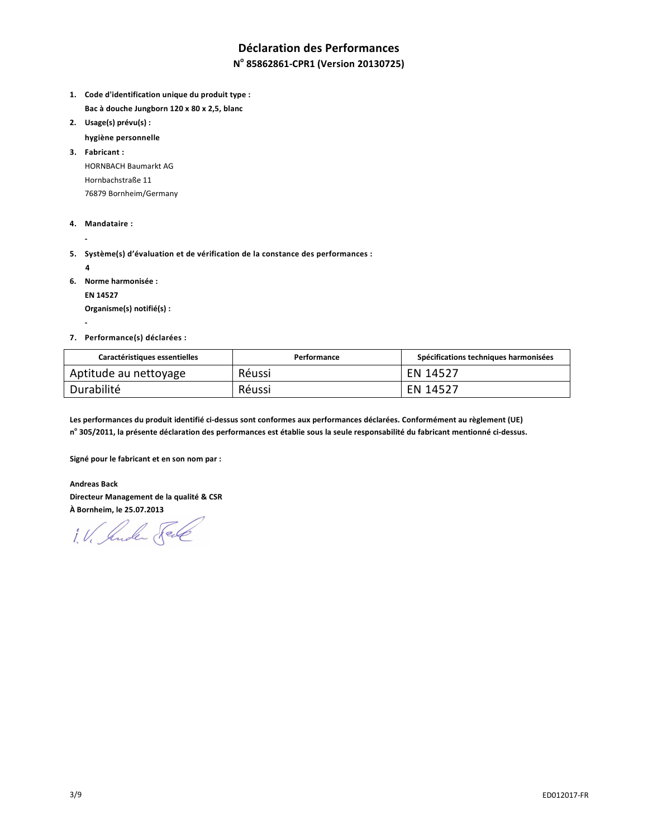# **Déclaration des Performances**

### **N o 85862861-CPR1 (Version 20130725)**

- **1. Code d'identification unique du produit type : Bac à douche Jungborn 120 x 80 x 2,5, blanc**
- **2. Usage(s) prévu(s) :** 
	- **hygiène personnelle**

**3. Fabricant :**  HORNBACH Baumarkt AG Hornbachstraße 11 76879 Bornheim/Germany

- **4. Mandataire :**
- **5. Système(s) d'évaluation et de vérification de la constance des performances :** 
	- **4**

 **-** 

 **-** 

**6. Norme harmonisée :** 

 **EN 14527** 

 **Organisme(s) notifié(s) :** 

**7. Performance(s) déclarées :** 

| Caractéristiques essentielles | Performance | Spécifications techniques harmonisées |
|-------------------------------|-------------|---------------------------------------|
| Aptitude au nettoyage         | Réussi      | EN 14527                              |
| Durabilité                    | Réussi      | EN 14527                              |

**Les performances du produit identifié ci-dessus sont conformes aux performances déclarées. Conformément au règlement (UE) n o 305/2011, la présente déclaration des performances est établie sous la seule responsabilité du fabricant mentionné ci-dessus.** 

**Signé pour le fabricant et en son nom par :** 

**Andreas Back Directeur Management de la qualité & CSR À Bornheim, le 25.07.2013** 

1. V. Suder Sele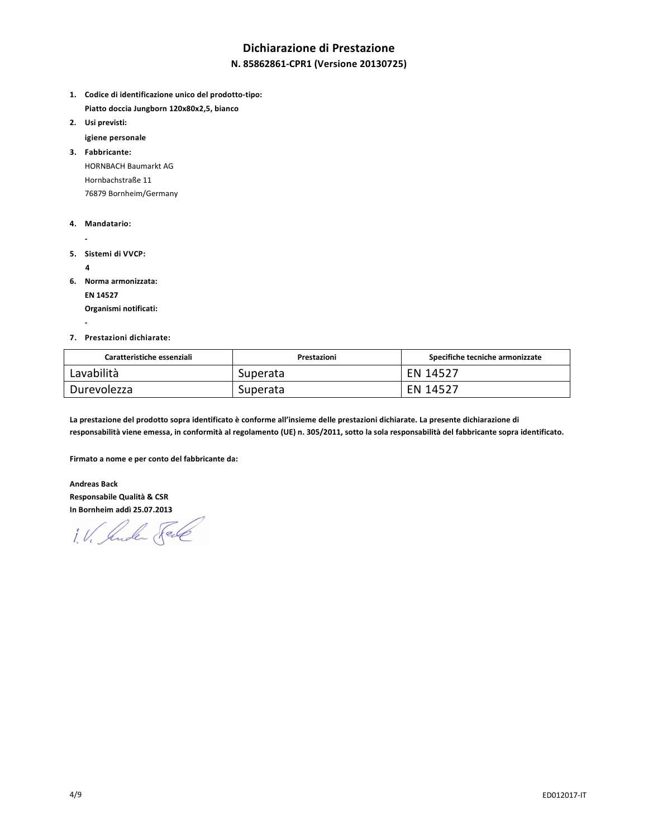## **Dichiarazione di Prestazione**

### **N. 85862861-CPR1 (Versione 20130725)**

- **1. Codice di identificazione unico del prodotto-tipo: Piatto doccia Jungborn 120x80x2,5, bianco**
- **2. Usi previsti:** 
	- **igiene personale**

**3. Fabbricante:**  HORNBACH Baumarkt AG Hornbachstraße 11 76879 Bornheim/Germany

- **4. Mandatario:**
- 
- **5. Sistemi di VVCP:** 
	- **4**

 **-** 

**6. Norma armonizzata:** 

 **EN 14527** 

 **Organismi notificati:** 

#### **7. Prestazioni dichiarate:**

| Caratteristiche essenziali | Prestazioni | Specifiche tecniche armonizzate |
|----------------------------|-------------|---------------------------------|
| Lavabilità                 | Superata    | EN 14527                        |
| Durevolezza                | Superata    | EN 14527                        |

**La prestazione del prodotto sopra identificato è conforme all'insieme delle prestazioni dichiarate. La presente dichiarazione di responsabilità viene emessa, in conformità al regolamento (UE) n. 305/2011, sotto la sola responsabilità del fabbricante sopra identificato.** 

**Firmato a nome e per conto del fabbricante da:** 

**Andreas Back Responsabile Qualità & CSR In Bornheim addì 25.07.2013** 

1. V. Jude Sel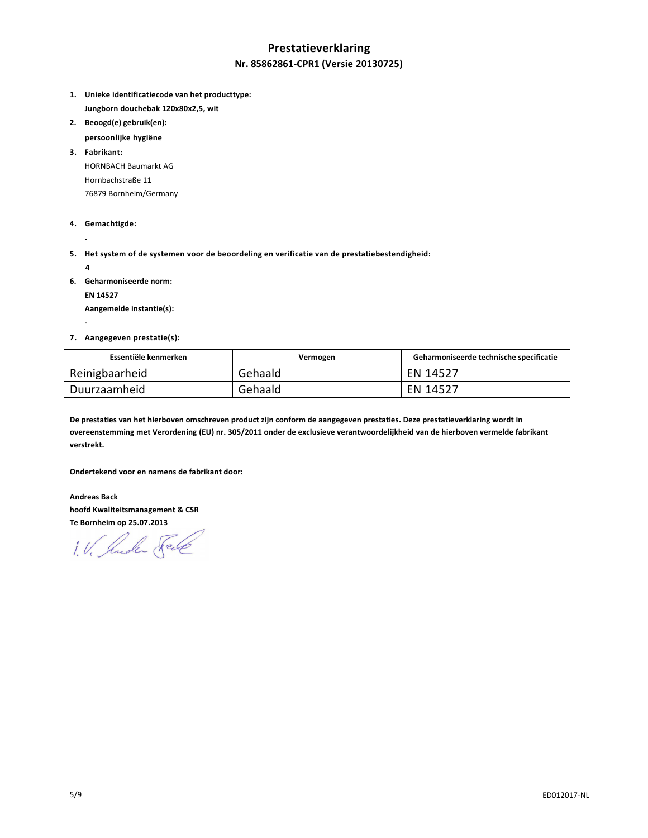## **Prestatieverklaring Nr. 85862861-CPR1 (Versie 20130725)**

- **1. Unieke identificatiecode van het producttype: Jungborn douchebak 120x80x2,5, wit**
- **2. Beoogd(e) gebruik(en):**
- **persoonlijke hygiëne**

**3. Fabrikant:**  HORNBACH Baumarkt AG Hornbachstraße 11 76879 Bornheim/Germany

- **4. Gemachtigde:**
- **5. Het system of de systemen voor de beoordeling en verificatie van de prestatiebestendigheid:** 
	- **4**

 **-** 

 **-** 

**6. Geharmoniseerde norm:** 

 **EN 14527** 

 **Aangemelde instantie(s):** 

#### **7. Aangegeven prestatie(s):**

| Essentiële kenmerken | Vermogen | Geharmoniseerde technische specificatie |
|----------------------|----------|-----------------------------------------|
| Reinigbaarheid       | Gehaald  | EN 14527                                |
| Duurzaamheid         | Gehaald  | EN 14527                                |

**De prestaties van het hierboven omschreven product zijn conform de aangegeven prestaties. Deze prestatieverklaring wordt in overeenstemming met Verordening (EU) nr. 305/2011 onder de exclusieve verantwoordelijkheid van de hierboven vermelde fabrikant verstrekt.** 

**Ondertekend voor en namens de fabrikant door:** 

**Andreas Back hoofd Kwaliteitsmanagement & CSR Te Bornheim op 25.07.2013** 

1. V. Suder Fele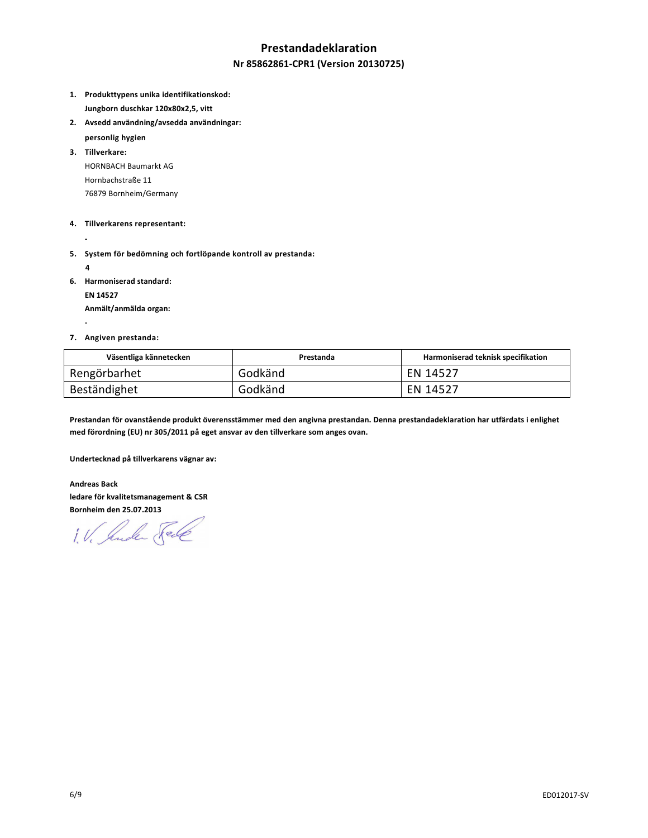### **Prestandadeklaration**

#### **Nr 85862861-CPR1 (Version 20130725)**

- **1. Produkttypens unika identifikationskod: Jungborn duschkar 120x80x2,5, vitt**
- **2. Avsedd användning/avsedda användningar:** 
	- **personlig hygien**

**3. Tillverkare:**  HORNBACH Baumarkt AG Hornbachstraße 11 76879 Bornheim/Germany

#### **4. Tillverkarens representant:**

 **-** 

**5. System för bedömning och fortlöpande kontroll av prestanda:** 

 **4** 

 **-** 

**6. Harmoniserad standard:** 

 **EN 14527** 

 **Anmält/anmälda organ:** 

#### **7. Angiven prestanda:**

| Väsentliga kännetecken | Prestanda | Harmoniserad teknisk specifikation |
|------------------------|-----------|------------------------------------|
| Rengörbarhet           | Godkänd   | EN 14527                           |
| Beständighet           | Godkänd   | EN 14527                           |

**Prestandan för ovanstående produkt överensstämmer med den angivna prestandan. Denna prestandadeklaration har utfärdats i enlighet med förordning (EU) nr 305/2011 på eget ansvar av den tillverkare som anges ovan.** 

**Undertecknad på tillverkarens vägnar av:** 

**Andreas Back ledare för kvalitetsmanagement & CSR Bornheim den 25.07.2013** 

1. V. Jude Sel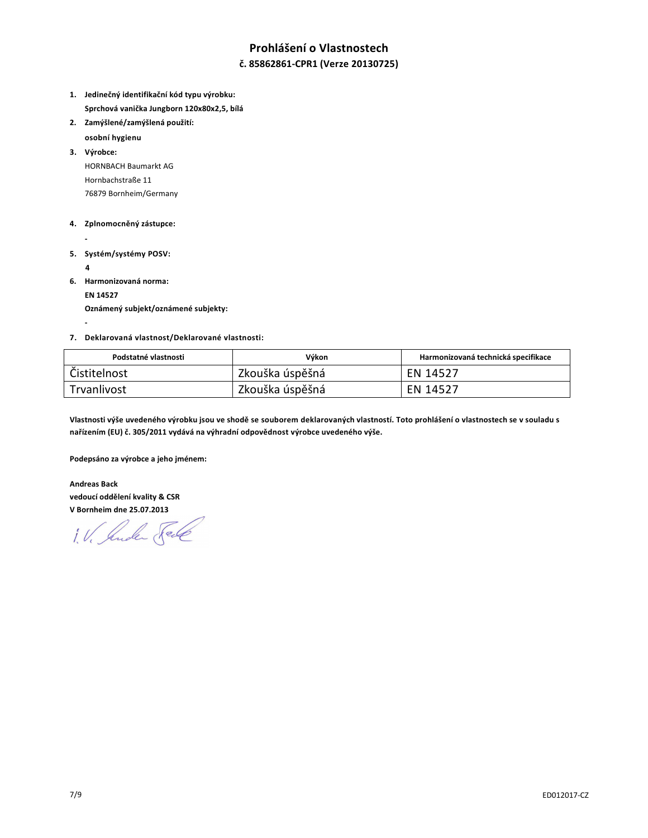## **Prohlášení o Vlastnostech**

### **č. 85862861-CPR1 (Verze 20130725)**

- **1. Jedinečný identifikační kód typu výrobku: Sprchová vanička Jungborn 120x80x2,5, bílá**
- **2. Zamýšlené/zamýšlená použití:**

 **osobní hygienu** 

**3. Výrobce:**  HORNBACH Baumarkt AG Hornbachstraße 11 76879 Bornheim/Germany

#### **4. Zplnomocněný zástupce:**

- 
- **5. Systém/systémy POSV:** 
	- **4**

 **-** 

**6. Harmonizovaná norma:** 

 **EN 14527** 

 **Oznámený subjekt/oznámené subjekty:** 

#### **7. Deklarovaná vlastnost/Deklarované vlastnosti:**

| Podstatné vlastnosti | Výkon           | Harmonizovaná technická specifikace |
|----------------------|-----------------|-------------------------------------|
| Čistitelnost         | Zkouška úspěšná | EN 14527                            |
| Trvanlivost          | Zkouška úspěšná | EN 14527                            |

**Vlastnosti výše uvedeného výrobku jsou ve shodě se souborem deklarovaných vlastností. Toto prohlášení o vlastnostech se v souladu s nařízením (EU) č. 305/2011 vydává na výhradní odpovědnost výrobce uvedeného výše.** 

**Podepsáno za výrobce a jeho jménem:** 

**Andreas Back vedoucí oddělení kvality & CSR V Bornheim dne 25.07.2013** 

1. V. Suder Sel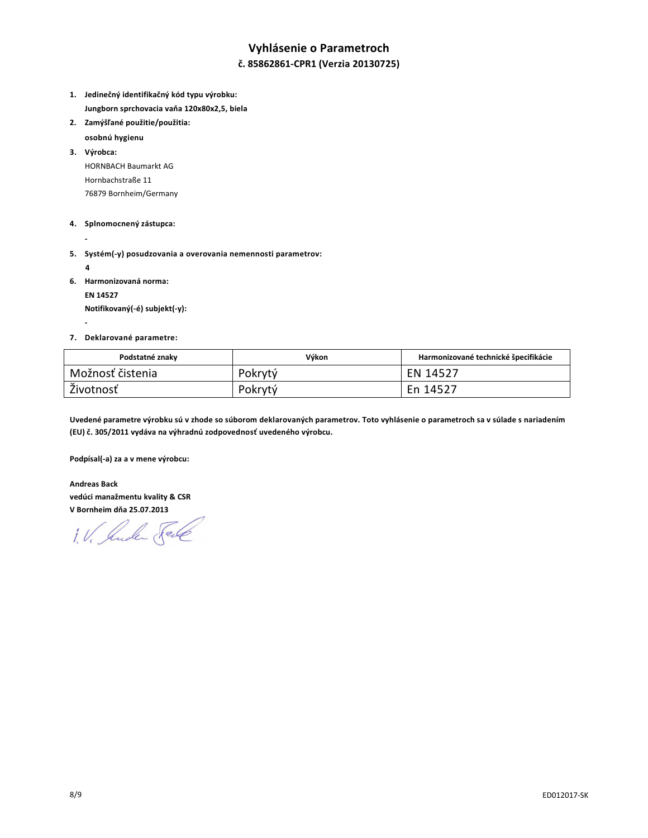## **Vyhlásenie o Parametroch**

### **č. 85862861-CPR1 (Verzia 20130725)**

- **1. Jedinečný identifikačný kód typu výrobku: Jungborn sprchovacia vaňa 120x80x2,5, biela**
- **2. Zamýšľané použitie/použitia:** 
	- **osobnú hygienu**

**3. Výrobca:**  HORNBACH Baumarkt AG Hornbachstraße 11 76879 Bornheim/Germany

#### **4. Splnomocnený zástupca:**

- **5. Systém(-y) posudzovania a overovania nemennosti parametrov:** 
	- **4**

 **-** 

**6. Harmonizovaná norma:** 

 **EN 14527 Notifikovaný(-é) subjekt(-y):** 

#### **7. Deklarované parametre:**

| Podstatné znaky  | Výkon   | Harmonizované technické špecifikácie |
|------------------|---------|--------------------------------------|
| Možnosť čistenia | Pokrytý | EN 14527                             |
| Životnosť        | Pokrytý | En 14527                             |

**Uvedené parametre výrobku sú v zhode so súborom deklarovaných parametrov. Toto vyhlásenie o parametroch sa v súlade s nariadením (EU) č. 305/2011 vydáva na výhradnú zodpovednosť uvedeného výrobcu.** 

**Podpísal(-a) za a v mene výrobcu:** 

**Andreas Back vedúci manažmentu kvality & CSR V Bornheim dňa 25.07.2013** 

1. V. Suder Fell